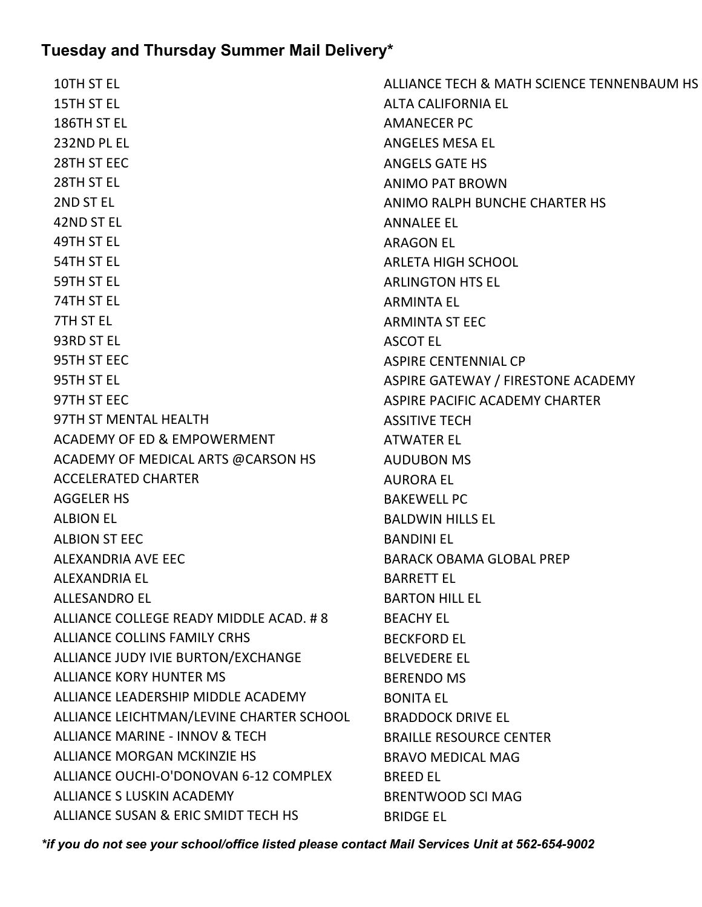10TH ST EL 15TH ST EL 186TH ST EL 232ND PL EL 28TH ST EEC 28TH ST EL 2ND ST EL 42ND ST EL 49TH ST EL 54TH ST EL 59TH ST EL 74TH ST EL 7TH ST EL 93RD ST EL 95TH ST EEC 95TH ST EL 97TH ST EEC 97TH ST MENTAL HEALTH ACADEMY OF ED & EMPOWERMENT ACADEMY OF MEDICAL ARTS @CARSON HS ACCELERATED CHARTER AGGELER HS ALBION EL ALBION ST EEC ALEXANDRIA AVE EEC ALEXANDRIA EL ALLESANDRO EL ALLIANCE COLLEGE READY MIDDLE ACAD. # 8 ALLIANCE COLLINS FAMILY CRHS ALLIANCE JUDY IVIE BURTON/EXCHANGE ALLIANCE KORY HUNTER MS ALLIANCE LEADERSHIP MIDDLE ACADEMY ALLIANCE LEICHTMAN/LEVINE CHARTER SCHOOL ALLIANCE MARINE - INNOV & TECH ALLIANCE MORGAN MCKINZIE HS ALLIANCE OUCHI-O'DONOVAN 6-12 COMPLEX ALLIANCE S LUSKIN ACADEMY ALLIANCE SUSAN & ERIC SMIDT TECH HS

ALLIANCE TECH & MATH SCIENCE TENNENBAUM HS ALTA CALIFORNIA EL AMANECER PC ANGELES MESA EL ANGELS GATE HS ANIMO PAT BROWN ANIMO RALPH BUNCHE CHARTER HS ANNALEE EL ARAGON EL ARLETA HIGH SCHOOL ARLINGTON HTS EL ARMINTA EL ARMINTA ST EEC ASCOT EL ASPIRE CENTENNIAL CP ASPIRE GATEWAY / FIRESTONE ACADEMY ASPIRE PACIFIC ACADEMY CHARTER ASSITIVE TECH ATWATER EL AUDUBON MS AURORA EL BAKEWELL PC BALDWIN HILLS EL BANDINI EL BARACK OBAMA GLOBAL PREP BARRETT EL BARTON HILL EL BEACHY EL BECKFORD EL BELVEDERE EL BERENDO MS BONITA EL BRADDOCK DRIVE EL BRAILLE RESOURCE CENTER BRAVO MEDICAL MAG BREED EL BRENTWOOD SCI MAG BRIDGE EL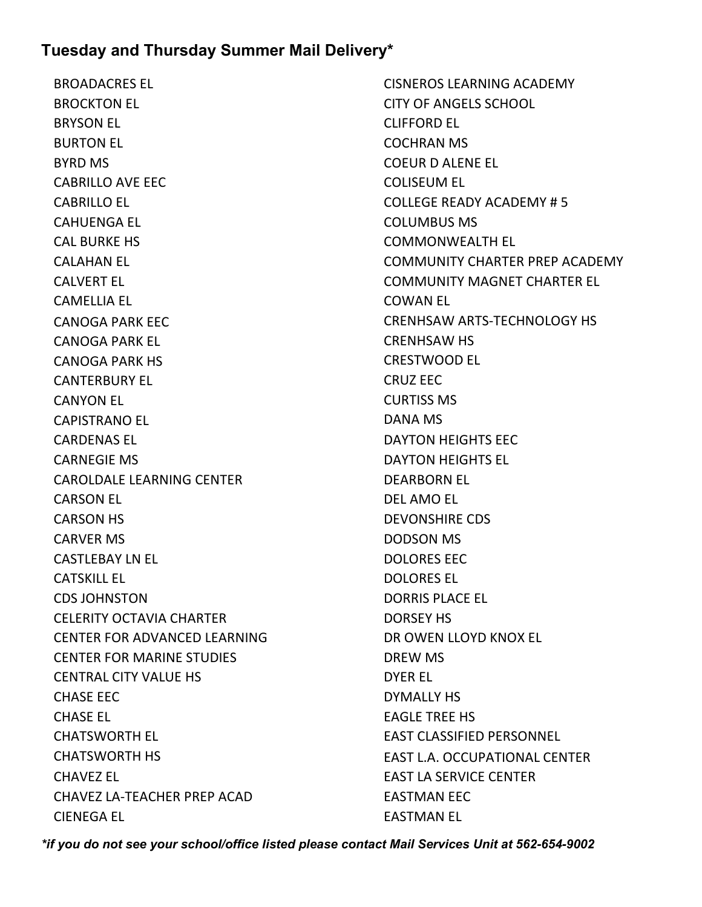BROADACRES EL BROCKTON EL BRYSON EL BURTON EL BYRD MS CABRILLO AVE EEC CABRILLO EL CAHUENGA EL CAL BURKE HS CALAHAN EL CALVERT EL CAMELLIA EL CANOGA PARK EEC CANOGA PARK EL CANOGA PARK HS CANTERBURY EL CANYON EL CAPISTRANO EL CARDENAS EL CARNEGIE MS CAROLDALE LEARNING CENTER CARSON EL CARSON HS CARVER MS CASTLEBAY LN EL CATSKILL EL CDS JOHNSTON CELERITY OCTAVIA CHARTER CENTER FOR ADVANCED LEARNING CENTER FOR MARINE STUDIES CENTRAL CITY VALUE HS CHASE EEC CHASE EL CHATSWORTH EL CHATSWORTH HS CHAVEZ EL CHAVEZ LA-TEACHER PREP ACAD CIENEGA EL

CISNEROS LEARNING ACADEMY CITY OF ANGELS SCHOOL CLIFFORD EL COCHRAN MS COEUR D ALENE EL COLISEUM EL COLLEGE READY ACADEMY # 5 COLUMBUS MS COMMONWEALTH EL COMMUNITY CHARTER PREP ACADEMY COMMUNITY MAGNET CHARTER EL COWAN EL CRENHSAW ARTS-TECHNOLOGY HS CRENHSAW HS CRESTWOOD EL CRUZ EEC CURTISS MS DANA MS DAYTON HEIGHTS EEC DAYTON HEIGHTS EL DEARBORN EL DEL AMO EL DEVONSHIRE CDS DODSON MS DOLORES EEC DOLORES EL DORRIS PLACE EL DORSEY HS DR OWEN LLOYD KNOX EL DREW MS DYER EL DYMALLY HS EAGLE TREE HS EAST CLASSIFIED PERSONNEL EAST L.A. OCCUPATIONAL CENTER EAST LA SERVICE CENTER EASTMAN EEC EASTMAN EL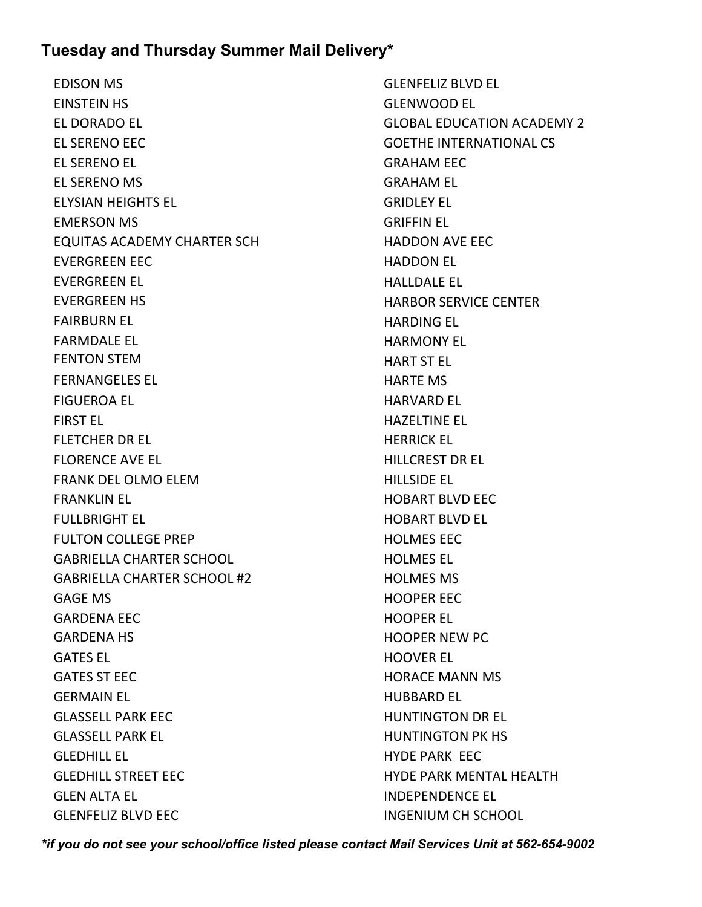EDISON MS EINSTEIN HS EL DORADO EL EL SERENO EEC EL SERENO EL EL SERENO MS ELYSIAN HEIGHTS EL EMERSON MS EQUITAS ACADEMY CHARTER SCH EVERGREEN EEC EVERGREEN EL EVERGREEN HS FAIRBURN EL FARMDALE EL FENTON STEM FERNANGELES EL FIGUEROA EL FIRST EL FLETCHER DR EL FLORENCE AVE EL FRANK DEL OLMO ELEM FRANKLIN EL FULLBRIGHT EL FULTON COLLEGE PREP GABRIELLA CHARTER SCHOOL GABRIELLA CHARTER SCHOOL #2 GAGE MS GARDENA EEC GARDENA HS GATES EL GATES ST EEC GERMAIN EL GLASSELL PARK EEC GLASSELL PARK EL GLEDHILL EL GLEDHILL STREET EEC GLEN ALTA EL GLENFELIZ BLVD EEC

GLENFELIZ BLVD EL GLENWOOD EL GLOBAL EDUCATION ACADEMY 2 GOETHE INTERNATIONAL CS GRAHAM EEC GRAHAM EL GRIDLEY EL GRIFFIN EL HADDON AVE EEC HADDON EL HALLDALE EL HARBOR SERVICE CENTER HARDING EL HARMONY EL HART ST EL HARTE MS HARVARD EL HAZELTINE EL HERRICK EL HILLCREST DR EL HILLSIDE EL HOBART BLVD EEC HOBART BLVD EL HOLMES EEC HOLMES EL HOLMES MS HOOPER EEC HOOPER EL HOOPER NEW PC HOOVER EL HORACE MANN MS HUBBARD EL HUNTINGTON DR EL HUNTINGTON PK HS HYDE PARK EEC HYDE PARK MENTAL HEALTH INDEPENDENCE EL INGENIUM CH SCHOOL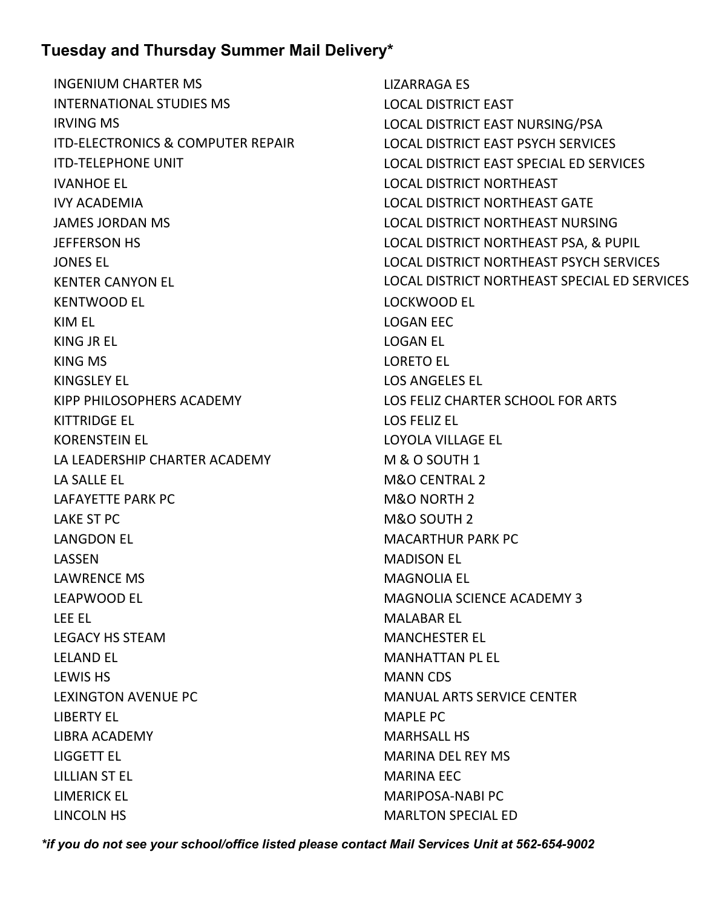INGENIUM CHARTER MS INTERNATIONAL STUDIES MS IRVING MS ITD-ELECTRONICS & COMPUTER REPAIR ITD-TELEPHONE UNIT IVANHOE EL IVY ACADEMIA JAMES JORDAN MS JEFFERSON HS JONES EL KENTER CANYON EL KENTWOOD EL KIM EL KING JR EL KING MS KINGSLEY EL KIPP PHILOSOPHERS ACADEMY KITTRIDGE EL KORENSTEIN EL LA LEADERSHIP CHARTER ACADEMY LA SALLE EL LAFAYETTE PARK PC LAKE ST PC LANGDON EL LASSEN LAWRENCE MS LEAPWOOD EL LEE EL LEGACY HS STEAM LELAND EL LEWIS HS LEXINGTON AVENUE PC LIBERTY EL LIBRA ACADEMY LIGGETT EL LILLIAN ST EL LIMERICK EL LINCOLN HS

LIZARRAGA ES LOCAL DISTRICT EAST LOCAL DISTRICT EAST NURSING/PSA LOCAL DISTRICT EAST PSYCH SERVICES LOCAL DISTRICT EAST SPECIAL ED SERVICES LOCAL DISTRICT NORTHEAST LOCAL DISTRICT NORTHEAST GATE LOCAL DISTRICT NORTHEAST NURSING LOCAL DISTRICT NORTHEAST PSA, & PUPIL LOCAL DISTRICT NORTHEAST PSYCH SERVICES LOCAL DISTRICT NORTHEAST SPECIAL ED SERVICES LOCKWOOD EL LOGAN EEC LOGAN EL LORETO EL LOS ANGELES EL LOS FELIZ CHARTER SCHOOL FOR ARTS LOS FELIZ EL LOYOLA VILLAGE EL M & O SOUTH 1 M&O CENTRAL 2 M&O NORTH 2 M&O SOUTH 2 MACARTHUR PARK PC MADISON EL MAGNOLIA EL MAGNOLIA SCIENCE ACADEMY 3 MALABAR EL MANCHESTER EL MANHATTAN PL EL MANN CDS MANUAL ARTS SERVICE CENTER MAPLE PC MARHSALL HS MARINA DEL REY MS MARINA EEC MARIPOSA-NABI PC MARLTON SPECIAL ED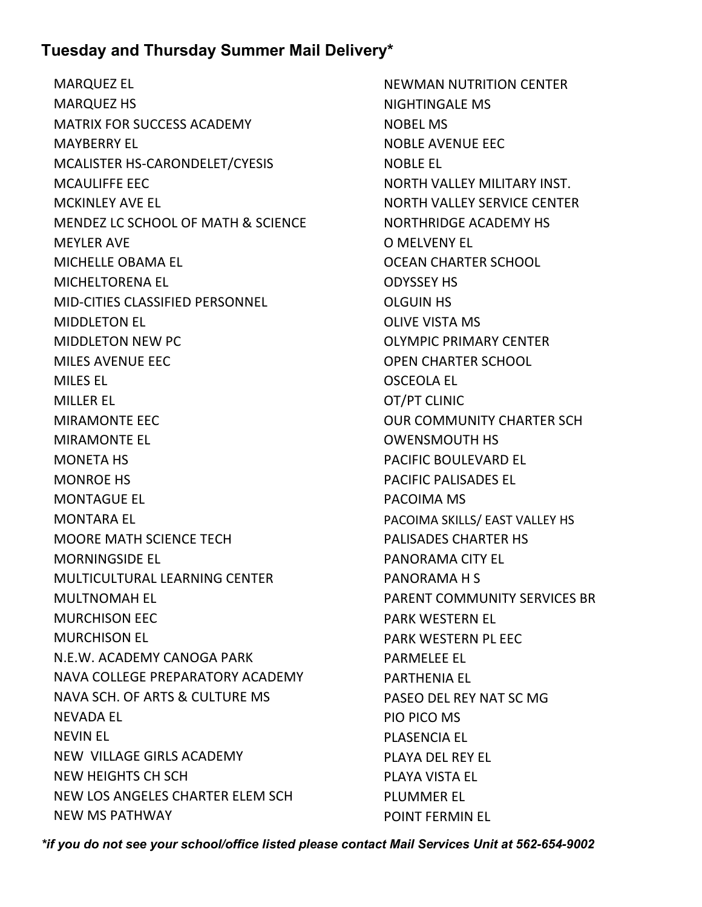MARQUEZ EL MARQUEZ HS MATRIX FOR SUCCESS ACADEMY MAYBERRY EL MCALISTER HS-CARONDELET/CYESIS MCAULIFFE EEC MCKINLEY AVE EL MENDEZ LC SCHOOL OF MATH & SCIENCE MEYLER AVE MICHELLE OBAMA EL MICHELTORENA EL MID-CITIES CLASSIFIED PERSONNEL MIDDLETON EL MIDDLETON NEW PC MILES AVENUE EEC MILES EL MILLER EL MIRAMONTE EEC MIRAMONTE EL MONETA HS MONROE HS MONTAGUE EL MONTARA EL MOORE MATH SCIENCE TECH MORNINGSIDE EL MULTICULTURAL LEARNING CENTER MULTNOMAH EL MURCHISON EEC MURCHISON EL N.E.W. ACADEMY CANOGA PARK NAVA COLLEGE PREPARATORY ACADEMY NAVA SCH. OF ARTS & CULTURE MS NEVADA EL NEVIN EL NEW VILLAGE GIRLS ACADEMY NEW HEIGHTS CH SCH NEW LOS ANGELES CHARTER ELEM SCH NEW MS PATHWAY

NEWMAN NUTRITION CENTER NIGHTINGALE MS NOBEL MS NOBLE AVENUE EEC NOBLE EL NORTH VALLEY MILITARY INST. NORTH VALLEY SERVICE CENTER NORTHRIDGE ACADEMY HS O MELVENY EL OCEAN CHARTER SCHOOL ODYSSEY HS OLGUIN HS OLIVE VISTA MS OLYMPIC PRIMARY CENTER OPEN CHARTER SCHOOL OSCEOLA EL OT/PT CLINIC OUR COMMUNITY CHARTER SCH OWENSMOUTH HS PACIFIC BOULEVARD EL PACIFIC PALISADES EL PACOIMA MS PACOIMA SKILLS/ EAST VALLEY HS PALISADES CHARTER HS PANORAMA CITY EL PANORAMA H S PARENT COMMUNITY SERVICES BR PARK WESTERN EL PARK WESTERN PL EEC PARMELEE EL PARTHENIA EL PASEO DEL REY NAT SC MG PIO PICO MS PLASENCIA EL PLAYA DEL REY EL PLAYA VISTA EL PLUMMER EL POINT FERMIN EL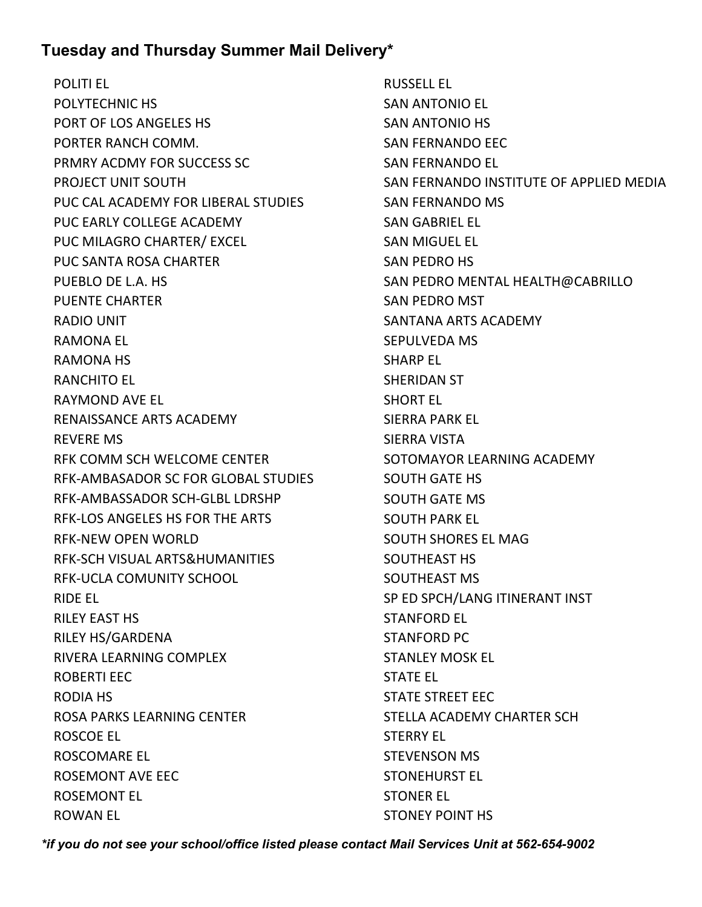POLITI EL POLYTECHNIC HS PORT OF LOS ANGELES HS PORTER RANCH COMM. PRMRY ACDMY FOR SUCCESS SC PROJECT UNIT SOUTH PUC CAL ACADEMY FOR LIBERAL STUDIES PUC EARLY COLLEGE ACADEMY PUC MILAGRO CHARTER/ EXCEL PUC SANTA ROSA CHARTER PUEBLO DE L.A. HS PUENTE CHARTER RADIO UNIT RAMONA EL RAMONA HS RANCHITO EL RAYMOND AVE EL RENAISSANCE ARTS ACADEMY REVERE MS RFK COMM SCH WELCOME CENTER RFK-AMBASADOR SC FOR GLOBAL STUDIES RFK-AMBASSADOR SCH-GLBL LDRSHP RFK-LOS ANGELES HS FOR THE ARTS RFK-NEW OPEN WORLD RFK-SCH VISUAL ARTS&HUMANITIES RFK-UCLA COMUNITY SCHOOL RIDE EL RILEY EAST HS RILEY HS/GARDENA RIVERA LEARNING COMPLEX ROBERTI EEC RODIA HS ROSA PARKS LEARNING CENTER ROSCOE EL ROSCOMARE EL ROSEMONT AVE EEC ROSEMONT EL ROWAN EL

RUSSELL EL SAN ANTONIO EL SAN ANTONIO HS SAN FERNANDO EEC SAN FERNANDO EL SAN FERNANDO INSTITUTE OF APPLIED MEDIA SAN FERNANDO MS SAN GABRIEL EL SAN MIGUEL EL SAN PEDRO HS SAN PEDRO MENTAL HEALTH@CABRILLO SAN PEDRO MST SANTANA ARTS ACADEMY SEPULVEDA MS SHARP EL SHERIDAN ST SHORT EL SIERRA PARK EL SIERRA VISTA SOTOMAYOR LEARNING ACADEMY SOUTH GATE HS SOUTH GATE MS SOUTH PARK EL SOUTH SHORES EL MAG SOUTHEAST HS SOUTHEAST MS SP ED SPCH/LANG ITINERANT INST STANFORD EL STANFORD PC STANLEY MOSK EL STATE EL STATE STREET EEC STELLA ACADEMY CHARTER SCH STERRY EL STEVENSON MS STONEHURST EL STONER EL STONEY POINT HS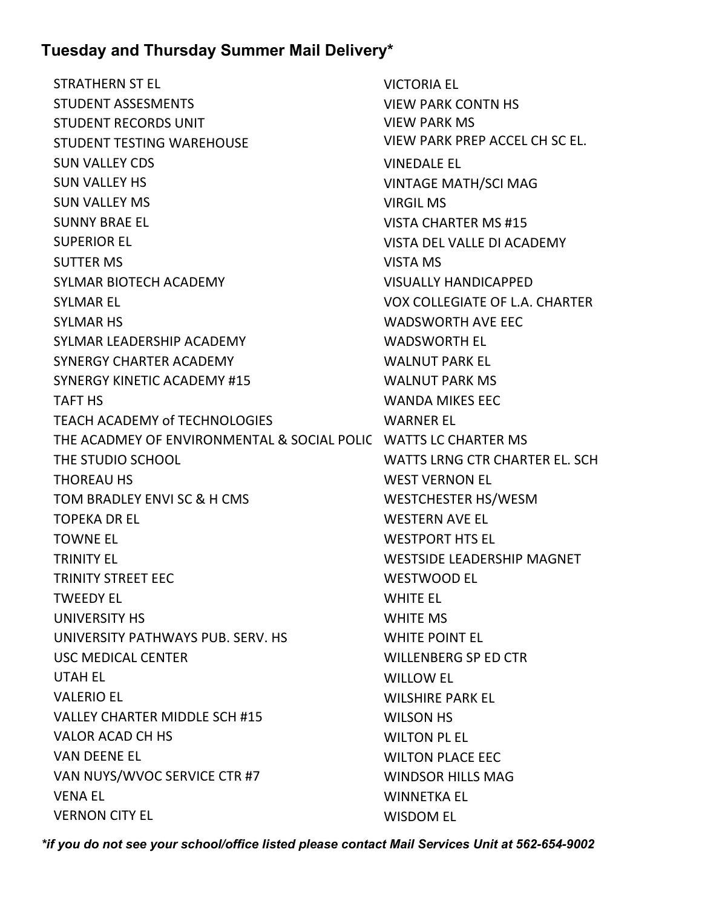STRATHERN ST EL STUDENT ASSESMENTS STUDENT RECORDS UNIT STUDENT TESTING WAREHOUSE SUN VALLEY CDS SUN VALLEY HS SUN VALLEY MS SUNNY BRAE EL SUPERIOR EL SUTTER MS SYLMAR BIOTECH ACADEMY SYLMAR EL SYLMAR HS SYLMAR LEADERSHIP ACADEMY SYNERGY CHARTER ACADEMY SYNERGY KINETIC ACADEMY #15 TAFT HS TEACH ACADEMY of TECHNOLOGIES THE ACADMEY OF ENVIRONMENTAL & SOCIAL POLICY WATTS LC CHARTER MS THE STUDIO SCHOOL THOREAU HS TOM BRADLEY ENVI SC & H CMS TOPEKA DR EL TOWNE EL TRINITY EL TRINITY STREET EEC TWEEDY EL UNIVERSITY HS UNIVERSITY PATHWAYS PUB. SERV. HS USC MEDICAL CENTER UTAH EL VALERIO EL VALLEY CHARTER MIDDLE SCH #15 VALOR ACAD CH HS VAN DEENE EL VAN NUYS/WVOC SERVICE CTR #7 VENA EL VERNON CITY EL

VICTORIA EL VIEW PARK CONTN HS VIEW PARK MS VIEW PARK PREP ACCEL CH SC EL. VINEDALE EL VINTAGE MATH/SCI MAG VIRGIL MS VISTA CHARTER MS #15 VISTA DEL VALLE DI ACADEMY VISTA MS VISUALLY HANDICAPPED VOX COLLEGIATE OF L.A. CHARTER WADSWORTH AVE EEC WADSWORTH EL WALNUT PARK EL WALNUT PARK MS WANDA MIKES EEC WARNER EL WATTS LRNG CTR CHARTER EL. SCH WEST VERNON EL WESTCHESTER HS/WESM WESTERN AVE EL WESTPORT HTS EL WESTSIDE LEADERSHIP MAGNET WESTWOOD EL WHITE EL WHITE MS WHITE POINT EL WILLENBERG SP ED CTR WILLOW EL WILSHIRE PARK EL WILSON HS WILTON PL EL WILTON PLACE EEC WINDSOR HILLS MAG WINNETKA EL WISDOM EL